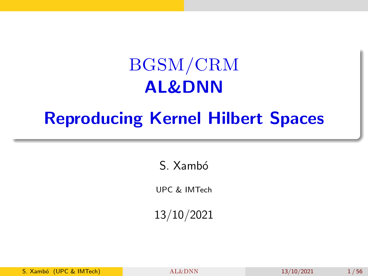## BGSM/CRM AL&DNN

## <span id="page-0-0"></span>Reproducing Kernel Hilbert Spaces

S. Xambó

UPC & IMTech

13/10/2021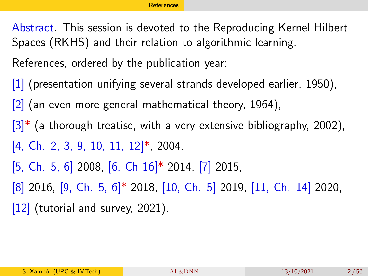<span id="page-1-0"></span>Abstract. This session is devoted to the Reproducing Kernel Hilbert Spaces (RKHS) and their relation to algorithmic learning.

References, ordered by the publication year:

[\[1\]](#page-51-0) (presentation unifying several strands developed earlier, 1950).

 $[2]$  (an even more general mathematical theory, 1964),

- $|3|^*$  (a thorough treatise, with a very extensive bibliography, 2002),
- $[4, Ch. 2, 3, 9, 10, 11, 12]$  $[4, Ch. 2, 3, 9, 10, 11, 12]$ <sup>\*</sup>, 2004.
- [\[5,](#page-52-0) Ch. 5, 6] 2008, [\[6,](#page-52-1) Ch 16]\* 2014, [\[7\]](#page-52-2) 2015,
- [\[8\]](#page-52-3) 2016, [\[9,](#page-53-0) Ch. 5, 6]\* 2018, [\[10,](#page-53-1) Ch. 5] 2019, [\[11,](#page-53-2) Ch. 14] 2020,

[\[12\]](#page-54-0) (tutorial and survey, 2021).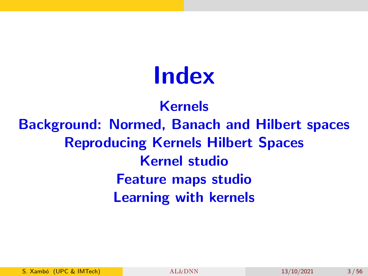# Index

Kernels Background: Normed, Banach and Hilbert spaces Reproducing Kernels Hilbert Spaces Kernel studio Feature maps studio Learning with kernels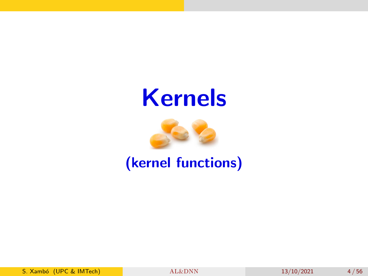## Kernels



(kernel functions)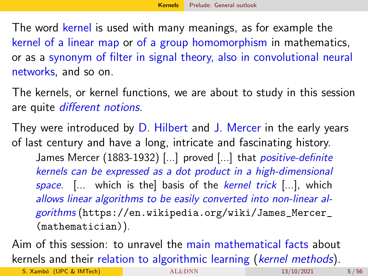<span id="page-4-0"></span>The word kernel is used with many meanings, as for example the kernel of a linear map or of a group homomorphism in mathematics, or as a synonym of filter in signal theory, also in convolutional neural networks, and so on.

The kernels, or kernel functions, we are about to study in this session are quite different notions.

They were introduced by D. Hilbert and J. Mercer in the early years of last century and have a long, intricate and fascinating history. James Mercer (1883-1932) [...] proved [...] that *positive-definite* kernels can be expressed as a dot product in a high-dimensional space. [... which is the] basis of the kernel trick [...], which allows linear algorithms to be easily converted into non-linear algorithms ([https://en.wikipedia.org/wiki/James\\_Mercer\\_](https://en.wikipedia.org/wiki/James_Mercer_(mathematician)) [\(mathematician\)](https://en.wikipedia.org/wiki/James_Mercer_(mathematician))).

Aim of this session: to unravel the main mathematical facts about kernels and their relation to algorithmic learning (kernel methods).

S. Xambó (UPC & IMTech)  $AL&DNN$  13/10/2021 5/56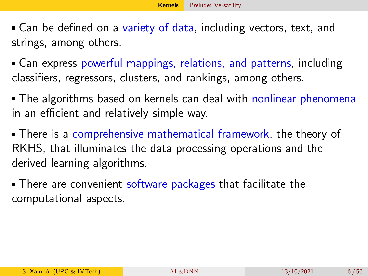- <span id="page-5-0"></span>Can be defined on a variety of data, including vectors, text, and strings, among others.
- Can express powerful mappings, relations, and patterns, including classifiers, regressors, clusters, and rankings, among others.
- The algorithms based on kernels can deal with nonlinear phenomena in an efficient and relatively simple way.
- There is a comprehensive mathematical framework, the theory of RKHS, that illuminates the data processing operations and the derived learning algorithms.
- **There are convenient software packages that facilitate the** computational aspects.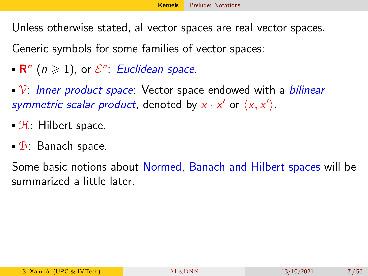<span id="page-6-0"></span>Unless otherwise stated, al vector spaces are real vector spaces.

Generic symbols for some families of vector spaces:

- $\mathsf{R}^n$   $(n \geqslant 1)$ , or  $\mathcal{E}^n$ : Euclidean space.
- $\sqrt{V}$ : Inner product space: Vector space endowed with a bilinear symmetric scalar product, denoted by  $x \cdot x'$  or  $\langle x, x' \rangle$ .
- $\mathcal{H}$ : Hilbert space.
- B: Banach space.

Some basic notions about Normed, Banach and Hilbert spaces will be summarized a little later.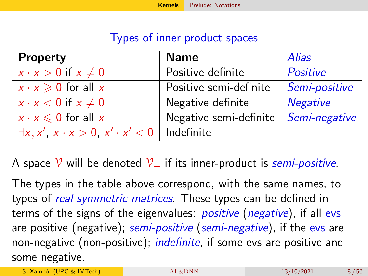#### Types of inner product spaces

| <b>Property</b>                                              | <b>Name</b>            | <b>Alias</b>    |
|--------------------------------------------------------------|------------------------|-----------------|
| $x \cdot x > 0$ if $x \neq 0$                                | Positive definite      | Positive        |
| $x \cdot x \geqslant 0$ for all x                            | Positive semi-definite | Semi-positive   |
| $x \cdot x < 0$ if $x \neq 0$                                | Negative definite      | <b>Negative</b> |
| $x \cdot x \leq 0$ for all x                                 | Negative semi-definite | Semi-negative   |
| $\exists x, x', x \cdot x > 0, x' \cdot x' < 0$   Indefinite |                        |                 |

A space  $\mathcal V$  will be denoted  $\mathcal V_+$  if its inner-product is semi-positive.

The types in the table above correspond, with the same names, to types of *real symmetric matrices*. These types can be defined in terms of the signs of the eigenvalues: *positive* (*negative*), if all evs are positive (negative); semi-positive (semi-negative), if the evs are non-negative (non-positive); *indefinite*, if some evs are positive and some negative.

S. Xambó (UPC & IMTech) [AL&DNN](#page-0-0) 13/10/2021 8/56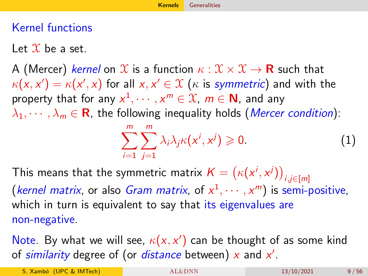### <span id="page-8-0"></span>Kernel functions

Let  $\mathcal X$  be a set.

A (Mercer) kernel on  $\mathcal X$  is a function  $\kappa : \mathcal X \times \mathcal X \to \mathbf R$  such that  $\kappa({\mathsf x},{\mathsf x}')=\kappa({\mathsf x}',{\mathsf x})$  for all  ${\mathsf x},{\mathsf x}'\in\mathfrak X$   $(\kappa$  is symmetric) and with the property that for any  $x^1,\cdots,x^m\in\mathfrak X$ ,  $m\in\mathsf N$ , and any  $\lambda_1, \dots, \lambda_m \in \mathbb{R}$ , the following inequality holds (*Mercer condition*):

<span id="page-8-1"></span>
$$
\sum_{i=1}^{m} \sum_{j=1}^{m} \lambda_i \lambda_j \kappa(x^i, x^j) \geqslant 0. \tag{1}
$$

This means that the symmetric matrix  $\mathcal{K} = \big(\kappa(x^i,x^j)\big)_{i,j\in[m]}$ (*kernel matrix*, or also *Gram matrix*, of  $x^1, \dots, x^m$ ) is semi-positive, which in turn is equivalent to say that its eigenvalues are non-negative.

Note. By what we will see,  $\kappa(x, x')$  can be thought of as some kind of similarity degree of (or *distance* between)  $x$  and  $x'$ .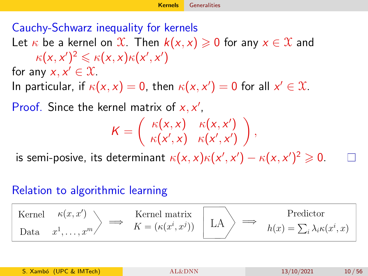### Cauchy-Schwarz inequality for kernels

Let  $\kappa$  be a kernel on  $\mathcal{X}$ . Then  $k(x, x) \geqslant 0$  for any  $x \in \mathcal{X}$  and  $\kappa(x, x')^2 \leqslant \kappa(x, x) \kappa(x', x')$ for any  $x, x' \in \mathcal{X}$ .

In particular, if  $\kappa(x, x) = 0$ , then  $\kappa(x, x') = 0$  for all  $x' \in \mathcal{X}$ .

Proof. Since the kernel matrix of  $x, x'$ ,

$$
K = \begin{pmatrix} \kappa(x, x) & \kappa(x, x') \\ \kappa(x', x) & \kappa(x', x') \end{pmatrix},
$$

is semi-posive, its determinant  $\kappa(x, x)\kappa(x', x') - \kappa(x, x')^2 \geqslant 0$ .

#### Relation to algorithmic learning

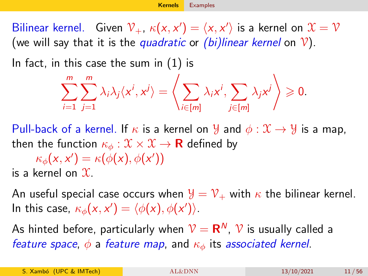<span id="page-10-0"></span>Bilinear kernel. Given  $\mathcal{V}_+$ ,  $\kappa(x,x') = \langle x,x' \rangle$  is a kernel on  $\mathcal{X} = \mathcal{V}$ (we will say that it is the quadratic or  $(bi)$ linear kernel on  $\mathcal{V}$ ).

In fact, in this case the sum in [\(1\)](#page-8-1) is

$$
\sum_{i=1}^m \sum_{j=1}^m \lambda_i \lambda_j \langle x^i, x^j \rangle = \left\langle \sum_{i \in [m]} \lambda_i x^i, \sum_{j \in [m]} \lambda_j x^j \right\rangle \geq 0.
$$

Pull-back of a kernel. If  $\kappa$  is a kernel on  $\mathcal Y$  and  $\phi: \mathcal X \to \mathcal Y$  is a map, then the function  $\kappa_{\phi}: \mathfrak{X} \times \mathfrak{X} \to \mathbf{R}$  defined by

 $\kappa_{\phi}(\mathsf{x},\mathsf{x}') = \kappa(\phi(\mathsf{x}),\phi(\mathsf{x}'))$ is a kernel on  $\mathfrak{X}$ .

An useful special case occurs when  $\mathcal{Y} = \mathcal{V}_+$  with  $\kappa$  the bilinear kernel. In this case,  $\kappa_{\phi}(x, x') = \langle \phi(x), \phi(x') \rangle$ .

As hinted before, particularly when  $\mathcal{V} = \mathsf{R}^{\sf N},\, \mathcal{V}$  is usually called a feature space,  $\phi$  a feature map, and  $\kappa_{\phi}$  its associated kernel.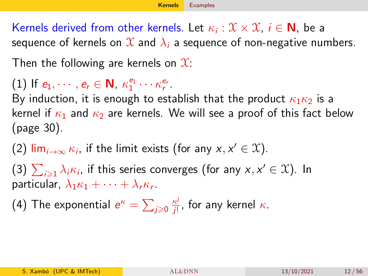Kernels derived from other kernels. Let  $\kappa_i: \mathfrak{X} \times \mathfrak{X}, \ i \in \mathsf{N}$ , be a sequence of kernels on  $\mathfrak X$  and  $\lambda_i$  a sequence of non-negative numbers.

Then the following are kernels on  $\mathfrak{X}$ :

(1) If  $e_1, \dots, e_r \in \mathbb{N}$ ,  $\kappa_1^{e_1} \cdots \kappa_r^{e_r}$ .

By induction, it is enough to establish that the product  $\kappa_1 \kappa_2$  is a kernel if  $\kappa_1$  and  $\kappa_2$  are kernels. We will see a proof of this fact below (page [30\)](#page-29-0).

(2)  $\lim_{i\to\infty} \kappa_i$ , if the limit exists (for any  $x, x' \in \mathfrak{X}$ ).

(3)  $\sum_{i\geqslant 1}\lambda_i\kappa_i$ , if this series converges (for any  $x,x'\in\mathfrak{X}$ ). In particular,  $\lambda_1 \kappa_1 + \cdots + \lambda_r \kappa_r$ .

(4) The exponential  $e^\kappa = \sum_{j\geqslant 0} \frac{\kappa^j}{j!}$  $\frac{\kappa^j}{j!}$ , for any kernel  $\kappa$ .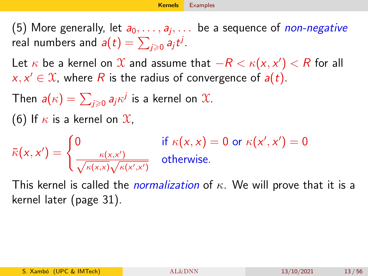(5) More generally, let  $a_0,\ldots,a_j,\ldots$  be a sequence of  $non-negative$ real numbers and  $\bm{a}(t)=\sum_{j\geqslant 0} a_j t^j.$ 

Let  $\kappa$  be a kernel on  $\mathfrak X$  and assume that  $-R<\kappa({\mathsf x},{\mathsf x}')< R$  for all  $x, x' \in \mathcal{X}$ , where R is the radius of convergence of  $a(t)$ .

Then  $\pmb{a}(\kappa)=\sum_{j\geqslant 0}\pmb{a}_j\kappa^j$  is a kernel on  $\mathfrak{X}.$ 

(6) If  $\kappa$  is a kernel on  $\mathfrak{X}$ ,

 $\bar{\kappa}(x, x') = \begin{cases} 0 & \text{if } \kappa(x, x) = 0 \text{ or } \kappa(x', x') = 0 \\ \kappa(x, x') & \text{otherwise} \end{cases}$  $\frac{\kappa(x,x')}{\sqrt{1-x^2}}$  $\frac{\kappa(x,x')}{\kappa(x,x)\sqrt{\kappa(x',x')}}$  otherwise.

This kernel is called the *normalization* of  $\kappa$ . We will prove that it is a kernel later (page [31\)](#page-30-0).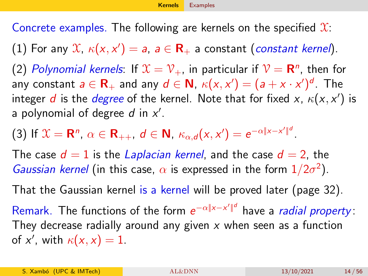Concrete examples. The following are kernels on the specified  $\mathfrak{X}$ :

(1) For any  $\mathfrak{X}, \ \kappa(\mathsf{x},\mathsf{x}') = \mathsf{a}, \ \mathsf{a} \in \mathsf{R}_+$  a constant (*constant kernel*).

(2) Polynomial kernels: If  $\mathfrak{X}=\mathfrak{V}_+$ , in particular if  $\mathfrak{V}=\mathbf{R}^n$ , then for any constant  $a\in\mathbf{R}_+$  and any  $d\in\mathbf{N}$ ,  $\kappa(\mathsf{x},\mathsf{x}')=(a+\mathsf{x}\cdot\mathsf{x}')^d.$  The integer  $d$  is the  $degree$  of the kernel. Note that for fixed x,  $\kappa(x,x')$  is a polynomial of degree  $d$  in  $x'$ .

(3) If  $X = \mathbf{R}^n$ ,  $\alpha \in \mathbf{R}_{++}$ ,  $d \in \mathbf{N}$ ,  $\kappa_{\alpha,d}(x,x') = e^{-\alpha|x-x'||^d}$ .

The case  $d = 1$  is the Laplacian kernel, and the case  $d = 2$ , the Gaussian kernel (in this case,  $\alpha$  is expressed in the form  $1/2\sigma^2$ ).

That the Gaussian kernel is a kernel will be proved later (page [32\)](#page-31-0).

Remark. The functions of the form  $e^{-\alpha\|x-x'\|^d}$  have a *radial property*: They decrease radially around any given  $x$  when seen as a function of x', with  $\kappa(x,x) = 1$ .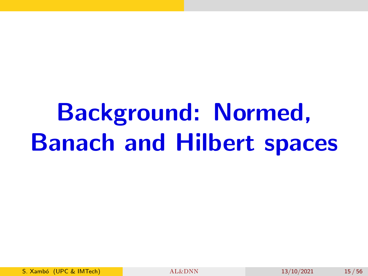# Background: Normed, Banach and Hilbert spaces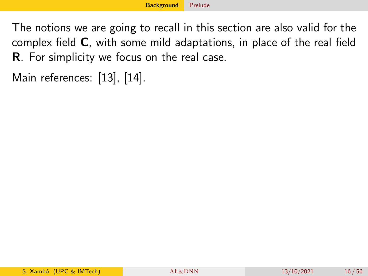<span id="page-15-0"></span>The notions we are going to recall in this section are also valid for the complex field C, with some mild adaptations, in place of the real field R. For simplicity we focus on the real case.

Main references: [\[13\]](#page-54-1), [\[14\]](#page-54-2).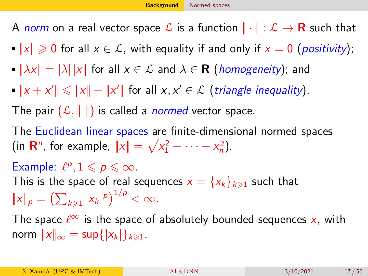<span id="page-16-0"></span>A norm on a real vector space L is a function  $\|\cdot\|: \mathcal{L} \to \mathbf{R}$  such that

- $||x|| \ge 0$  for all  $x \in \mathcal{L}$ , with equality if and only if  $x = 0$  (positivity);
- $||\lambda x|| = |\lambda| ||x||$  for all  $x \in \mathcal{L}$  and  $\lambda \in \mathbf{R}$  (homogeneity); and
- $||x + x'|| \le ||x|| + ||x'||$  for all  $x, x' \in \mathcal{L}$  (triangle inequality).

The pair  $(\mathcal{L}, \| \|)$  is called a *normed* vector space.

The Euclidean linear spaces are finite-dimensional normed spaces (in **R**<sup>n</sup>, for example,  $||x|| = \sqrt{x_1^2 + \cdots + x_n^2}$ ).

### Example:  $\ell^p, 1 \leqslant p \leqslant \infty$ .

This is the space of real sequences  $x = \{x_k\}_{k\geq 1}$  such that  $||x||_p = (\sum_{k \geq 1} |x_k|^p)^{1/p} < \infty.$ 

The space  $\ell^{\infty}$  is the space of absolutely bounded sequences  $x$ , with norm  $||x||_{\infty} = \sup\{|x_k|\}_{k \geq 1}$ .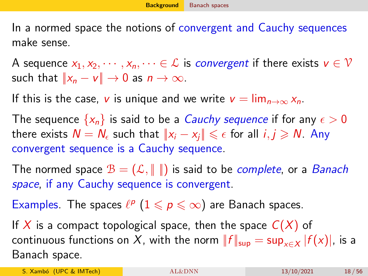<span id="page-17-0"></span>In a normed space the notions of convergent and Cauchy sequences make sense.

A sequence  $x_1, x_2, \dots, x_n, \dots \in \mathcal{L}$  is *convergent* if there exists  $v \in \mathcal{V}$ such that  $||x_n - v|| \to 0$  as  $n \to \infty$ .

If this is the case, v is unique and we write  $v = \lim_{n \to \infty} x_n$ .

The sequence  $\{x_n\}$  is said to be a *Cauchy sequence* if for any  $\epsilon > 0$ there exists  $\mathcal{N}=\tilde{\mathcal{N}}_\epsilon$  such that  $\|x_i-x_j\|\leqslant \epsilon$  for all  $i,j\geqslant \mathcal{N}.$  Any convergent sequence is a Cauchy sequence.

The normed space  $\mathcal{B} = (\mathcal{L}, \| \|)$  is said to be *complete*, or a *Banach* space, if any Cauchy sequence is convergent.

Examples. The spaces  $\ell^p$   $(1 \leq p \leq \infty)$  are Banach spaces.

If X is a compact topological space, then the space  $C(X)$  of continuous functions on  $X$ , with the norm  $\|f\|_{\sup}=\sup_{\mathsf{x}\in X}|f(\mathsf{x})|$ , is a Banach space.

S. Xambó (UPC & IMTech) [AL&DNN](#page-0-0) 13/10/2021 18/56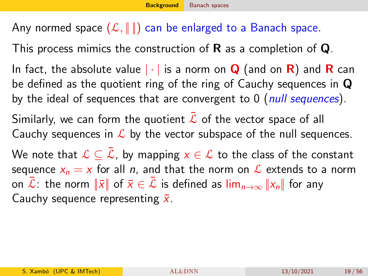### Any normed space  $(\mathcal{L}, \|\|)$  can be enlarged to a Banach space.

This process mimics the construction of  $\bf{R}$  as a completion of  $\bf{Q}$ .

In fact, the absolute value  $|\cdot|$  is a norm on **Q** (and on **R**) and **R** can be defined as the quotient ring of the ring of Cauchy sequences in Q by the ideal of sequences that are convergent to  $0$  (null sequences).

Similarly, we can form the quotient  $\mathcal L$  of the vector space of all Cauchy sequences in  $\mathcal L$  by the vector subspace of the null sequences.

We note that  $\mathcal{L} \subset \mathcal{L}$ , by mapping  $x \in \mathcal{L}$  to the class of the constant sequence  $x_n = x$  for all n, and that the norm on  $\mathcal L$  extends to a norm on  $\bar{\mathcal{L}}$ : the norm  $\|\bar{x}\|$  of  $\bar{x}\in\bar{\mathcal{L}}$  is defined as  $\lim_{n\to\infty}||x_n||$  for any Cauchy sequence representing  $\bar{x}$ .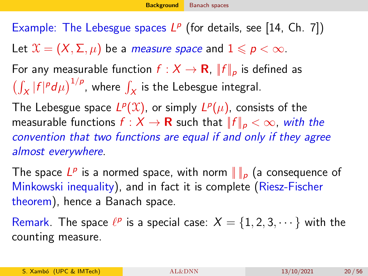Example: The Lebesgue spaces  $L^p$  (for details, see [\[14,](#page-54-2) Ch. 7]) Let  $\mathcal{X} = (X, \Sigma, \mu)$  be a *measure space* and  $1 \leq p < \infty$ . For any measurable function  $f: X \to \mathbf{R}$ ,  $||f||_p$  is defined as  $\left(\int_X |f|^p d\mu\right)^{1/p}$ , where  $\int_X$  is the Lebesgue integral. The Lebesgue space  $L^p(\mathfrak{X})$ , or simply  $L^p(\mu)$ , consists of the measurable functions  $f : X \to \mathbf{R}$  such that  $||f||_p < \infty$ , with the convention that two functions are equal if and only if they agree almost everywhere.

The space  $L^p$  is a normed space, with norm  $\|\ \|_p$  (a consequence of Minkowski inequality), and in fact it is complete (Riesz-Fischer theorem), hence a Banach space.

Remark. The space  $\ell^p$  is a special case:  $X = \{1, 2, 3, \cdots\}$  with the counting measure.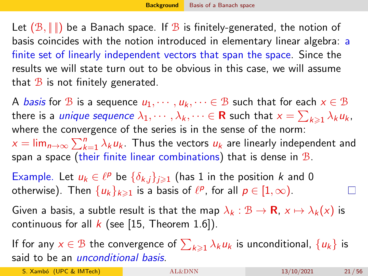<span id="page-20-0"></span>Let  $(\mathcal{B}, \|\|)$  be a Banach space. If  $\mathcal B$  is finitely-generated, the notion of basis coincides with the notion introduced in elementary linear algebra: a finite set of linearly independent vectors that span the space. Since the results we will state turn out to be obvious in this case, we will assume that  $\mathcal B$  is not finitely generated.

A *basis* for B is a sequence  $u_1, \dots, u_k, \dots \in B$  such that for each  $x \in B$ there is a *unique sequence*  $\lambda_1,\cdots,\lambda_k,\cdots\in{\bf R}$  such that  $x=\sum_{k\geqslant1}\lambda_ku_k$ , where the convergence of the series is in the sense of the norm:  $x = \lim_{n \to \infty} \sum_{k=1}^n \lambda_k u_k$ . Thus the vectors  $u_k$  are linearly independent and span a space (their finite linear combinations) that is dense in  $B$ .

Example. Let  $u_k \in \ell^p$  be  $\{\delta_{k,j}\}_{j\geqslant 1}$  (has 1 in the position k and 0 otherwise). Then  $\{u_k\}_{k\geqslant 1}$  is a basis of  $\ell^p$ , for all  $p\in [1,\infty)$ .

Given a basis, a subtle result is that the map  $\lambda_k : \mathcal{B} \to \mathbf{R}$ ,  $x \mapsto \lambda_k(x)$  is continuous for all  $k$  (see [\[15,](#page-54-3) Theorem 1.6]).

If for any  $x\in\mathcal{B}$  the convergence of  $\sum_{k\geqslant 1}\lambda_ku_k$  is unconditional,  $\{u_k\}$  is said to be an *unconditional basis*.

S. Xambó (UPC & IMTech)  $AL&DNN$  13/10/2021 21/56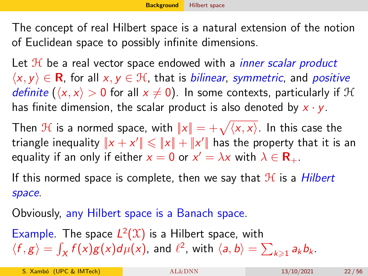<span id="page-21-0"></span>The concept of real Hilbert space is a natural extension of the notion of Euclidean space to possibly infinite dimensions.

Let  $H$  be a real vector space endowed with a *inner scalar product*  $\langle x, y \rangle \in \mathbf{R}$ , for all  $x, y \in \mathcal{H}$ , that is *bilinear, symmetric*, and *positive* definite ( $\langle x, x \rangle > 0$  for all  $x \neq 0$ ). In some contexts, particularly if H has finite dimension, the scalar product is also denoted by  $x \cdot y$ .

Then  $\mathcal H$  is a normed space, with  $\|x\| = +\sqrt{\langle x, x\rangle}$ . In this case the triangle inequality  $\|x+x'\|\leqslant \|x\|+\|x'\|$  has the property that it is an equality if an only if either  $x = 0$  or  $x' = \lambda x$  with  $\lambda \in \mathbf{R}_{+}$ .

If this normed space is complete, then we say that  $H$  is a Hilbert space.

Obviously, any Hilbert space is a Banach space.

Example. The space  $L^2(\mathfrak{X})$  is a Hilbert space, with  $\langle f, g \rangle = \int_X f(x)g(x)d\mu(x)$ , and  $\ell^2$ , with  $\langle a, b \rangle = \sum_{k \geqslant 1} a_k b_k$ .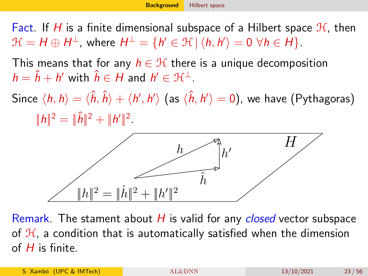Fact. If H is a finite dimensional subspace of a Hilbert space  $\mathcal{H}$ , then  $\mathcal{H} = H \oplus H^\perp$ , where  $H^\perp = \{h' \in \mathcal{H} \, | \, \langle h, h' \rangle = 0 \,\, \forall h \in H\}.$ 

This means that for any  $h \in \mathcal{H}$  there is a unique decomposition  $h = \hat{h} + h'$  with  $\hat{h} \in H$  and  $h' \in \mathfrak{H}^{\perp}$ .

Since  $\langle h,h\rangle=\langle\hat{h},\hat{h}\rangle+\langle h',h'\rangle$  (as  $\langle\hat{h},h'\rangle=0)$ , we have (Pythagoras)  $||h||^2 = ||\hat{h}||^2 + ||h'||^2$ .



Remark. The stament about  $H$  is valid for any *closed* vector subspace of  $H$ , a condition that is automatically satisfied when the dimension of  $H$  is finite.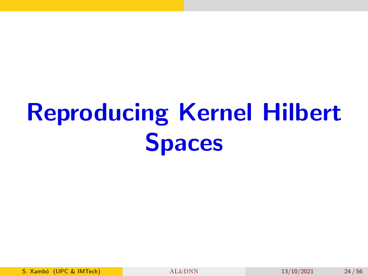# Reproducing Kernel Hilbert Spaces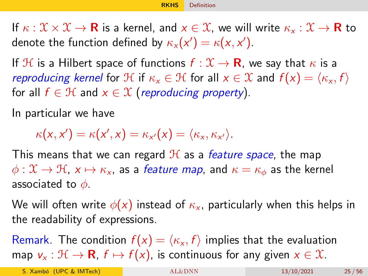<span id="page-24-0"></span>If  $\kappa : \mathfrak{X} \times \mathfrak{X} \to \mathbf{R}$  is a kernel, and  $x \in \mathfrak{X}$ , we will write  $\kappa_x : \mathfrak{X} \to \mathbf{R}$  to denote the function defined by  $\kappa_{\mathsf{x}}(\mathsf{x}') = \kappa(\mathsf{x},\mathsf{x}')$ .

If H is a Hilbert space of functions  $f: \mathcal{X} \to \mathbf{R}$ , we say that  $\kappa$  is a reproducing kernel for  $\mathcal{H}$  if  $\kappa_x \in \mathcal{H}$  for all  $x \in \mathcal{X}$  and  $f(x) = \langle \kappa_x, f \rangle$ for all  $f \in \mathcal{H}$  and  $x \in \mathcal{X}$  (reproducing property).

In particular we have

 $\kappa(\mathsf{x},\mathsf{x}') = \kappa(\mathsf{x}',\mathsf{x}) = \kappa_{\mathsf{x}'}(\mathsf{x}) = \langle \kappa_{\mathsf{x}}, \kappa_{\mathsf{x}'} \rangle.$ 

This means that we can regard  $H$  as a *feature space*, the map  $\phi: \mathfrak{X} \to \mathfrak{H}$ ,  $x \mapsto \kappa_x$ , as a *feature map*, and  $\kappa = \kappa_{\phi}$  as the kernel associated to  $\phi$ .

We will often write  $\phi(x)$  instead of  $\kappa_{x}$ , particularly when this helps in the readability of expressions.

Remark. The condition  $f(x) = \langle \kappa_x, f \rangle$  implies that the evaluation map  $v_x : \mathcal{H} \to \mathbf{R}$ ,  $f \mapsto f(x)$ , is continuous for any given  $x \in \mathcal{X}$ .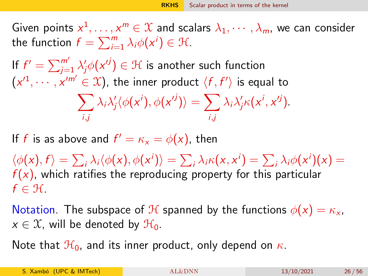<span id="page-25-0"></span>Given points  $x^1,\ldots,x^m\in\mathfrak X$  and scalars  $\lambda_1,\cdots,\lambda_m$ , we can consider the function  $f = \sum_{i=1}^{m} \lambda_i \phi(x^i) \in \mathcal{H}$ .

If  $f' = \sum_{j=1}^{m'} \lambda'_j \phi(\mathsf{x}^{.j}) \in \mathcal{H}$  is another such function  $(x'^1, \dots, x'^{m'} \in \mathfrak{X})$ , the inner product  $\langle f, f' \rangle$  is equal to  $\sum$ i,j  $\lambda_i \lambda'_j \langle \phi(\mathsf{x}^i), \phi(\mathsf{x}^{ij}) \rangle = \sum_j$ i,j  $\lambda_i \lambda'_j \kappa(x^i, x'^j)$ .

If  $f$  is as above and  $f' = \kappa_x = \phi(x)$ , then

 $\langle \phi(x), f \rangle = \sum_i \lambda_i \langle \phi(x), \phi(x^i) \rangle = \sum_i \lambda_i \kappa(x, x^i) = \sum_i \lambda_i \phi(x^i)(x) =$  $f(x)$ , which ratifies the reproducing property for this particular  $f \in \mathcal{H}$ .

Notation. The subspace of  $\mathcal H$  spanned by the functions  $\phi(x) = \kappa_x$ ,  $x \in \mathfrak{X}$ , will be denoted by  $\mathfrak{H}_0$ .

Note that  $\mathcal{H}_0$ , and its inner product, only depend on  $\kappa$ .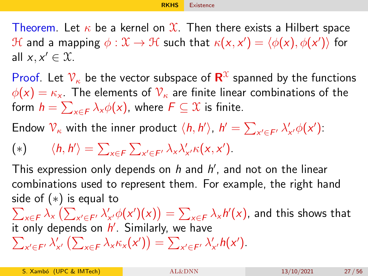[RKHS](#page-24-0) [Existence](#page-26-0)

<span id="page-26-0"></span>Theorem. Let  $\kappa$  be a kernel on  $\mathfrak{X}$ . Then there exists a Hilbert space  ${\mathcal H}$  and a mapping  $\phi: {\mathfrak X} \to {\mathcal H}$  such that  $\kappa({\mathsf x},{\mathsf x}') = \langle \phi({\mathsf x}), \phi({\mathsf x}') \rangle$  for all  $x, x' \in \mathfrak{X}$ .

Proof. Let  $\mathcal{V}_\kappa$  be the vector subspace of  $\mathbf{R}^\mathcal{X}$  spanned by the functions  $\phi(x) = \kappa_{x}$ . The elements of  $V_{\kappa}$  are finite linear combinations of the form  $h = \sum_{x \in F} \lambda_x \phi(x)$ , where  $F \subseteq \mathfrak{X}$  is finite.

Endow  $\mathcal{V}_\kappa$  with the inner product  $\langle h, h' \rangle$ ,  $h' = \sum_{x' \in F'} \lambda'_{x'} \phi(x')$ :

$$
(*) \qquad \langle h, h' \rangle = \sum_{x \in F} \sum_{x' \in F'} \lambda_x \lambda'_{x'} \kappa(x, x').
$$

This expression only depends on  $h$  and  $h'$ , and not on the linear combinations used to represent them. For example, the right hand side of ( ∗) is equal to

 $\sum_{x\in\mathcal{F}}\lambda_x\left(\sum_{x'\in\mathcal{F}'}\lambda'_{x'}\phi(x')(x)\right)=\sum_{x\in\mathcal{F}}\lambda_x\textit{h}'(x)$ , and this shows that it only depends on h'. Similarly, we have

 $\sum_{x' \in F'} \lambda'_{x'} \left( \sum_{x \in F} \lambda_x \kappa_x(x') \right) = \sum_{x' \in F'} \lambda'_{x'} h(x').$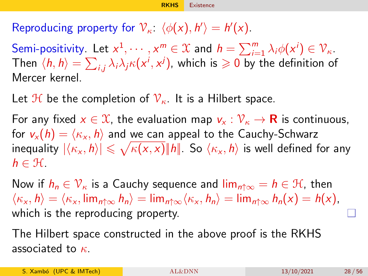Reproducing property for  $\mathcal{V}_{\kappa}$ :  $\langle \phi(x), h' \rangle = h'(x)$ .

Semi-positivity. Let  $x^1, \dots, x^m \in \mathfrak{X}$  and  $h = \sum_{i=1}^m \lambda_i \phi(x^i) \in \mathcal{V}_\kappa$ . Then  $\langle h,h\rangle=\sum_{i,j}\lambda_i\lambda_j\kappa(\mathsf{x}^i,\mathsf{x}^j)$ , which is  $\geqslant 0$  by the definition of Mercer kernel.

Let H be the completion of  $\mathcal{V}_{\kappa}$ . It is a Hilbert space.

For any fixed  $x \in \mathcal{X}$ , the evaluation map  $v_x : \mathcal{V}_\kappa \to \mathbf{R}$  is continuous, for  $v_x(h) = \langle \kappa_x, h \rangle$  and we can appeal to the Cauchy-Schwarz inequality  $|\langle\kappa_\mathsf{x},\hbar\rangle|\leqslant\sqrt{\kappa(\mathsf{x},\mathsf{x})}\|h\|.$  So  $\langle\kappa_\mathsf{x},\hbar\rangle$  is well defined for any  $h \in \mathfrak{H}$ .

Now if  $h_n \in \mathcal{V}_{\kappa}$  is a Cauchy sequence and  $\lim_{n \to \infty} h \in \mathcal{H}$ , then  $\langle \kappa_x, h \rangle = \langle \kappa_x, \lim_{n \uparrow \infty} h_n \rangle = \lim_{n \uparrow \infty} \langle \kappa_x, h_n \rangle = \lim_{n \uparrow \infty} h_n(x) = h(x),$ which is the reproducing property.

The Hilbert space constructed in the above proof is the RKHS associated to  $\kappa$ .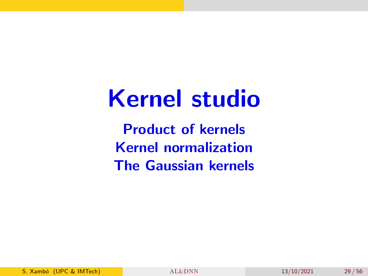## Kernel studio

Product of kernels Kernel normalization The Gaussian kernels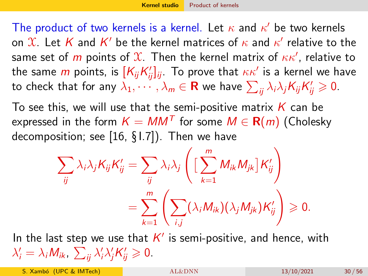<span id="page-29-1"></span><span id="page-29-0"></span>The product of two kernels is a kernel. Let  $\kappa$  and  $\kappa'$  be two kernels on  $\mathfrak X.$  Let  $K$  and  $K'$  be the kernel matrices of  $\kappa$  and  $\kappa'$  relative to the same set of  $m$  points of  $\mathfrak X.$  Then the kernel matrix of  $\kappa\kappa'$ , relative to the same  $m$  points, is  $[\mathcal{K}_{ij}\mathcal{K}^\prime_{ij}]_{ij}$ . To prove that  $\kappa\kappa^\prime$  is a kernel we have to check that for any  $\lambda_1,\cdots,\lambda_m\in{\bf R}$  we have  $\sum_{ij}\lambda_i\lambda_jK_{ij}K_{ij}'\geqslant 0.$ 

To see this, we will use that the semi-positive matrix  $K$  can be expressed in the form  $\mathcal{K} = MM^{\mathcal{T}}$  for some  $M \in \mathbf{R}(m)$  (Cholesky decomposition; see [\[16,](#page-55-1) § I.7]). Then we have

$$
\sum_{ij} \lambda_i \lambda_j K_{ij} K'_{ij} = \sum_{ij} \lambda_i \lambda_j \left( \left[ \sum_{k=1}^m M_{ik} M_{jk} \right] K'_{ij} \right)
$$
  
= 
$$
\sum_{k=1}^m \left( \sum_{i,j} (\lambda_i M_{ik}) (\lambda_j M_{jk}) K'_{ij} \right) \geq 0.
$$

In the last step we use that  $K'$  is semi-positive, and hence, with  $\lambda'_i = \lambda_i M_{ik}, \sum_{ij} \lambda'_i \lambda'_j K'_{ij} \geqslant 0.$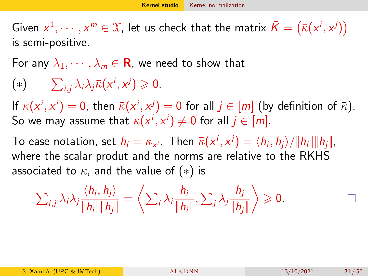<span id="page-30-1"></span><span id="page-30-0"></span>Given  $x^1, \dots, x^m \in \mathcal{X}$ , let us check that the matrix  $\bar{K} = (\bar{\kappa}(x^i, x^j))$ is semi-positive.

For any  $\lambda_1, \cdots, \lambda_m \in \mathbf{R}$ , we need to show that

$$
(*)\qquad \sum_{i,j}\lambda_i\lambda_j\bar{\kappa}(x^i,x^j)\geq 0.
$$

If  $\kappa(x^i, x^i) = 0$ , then  $\bar{\kappa}(x^i, x^j) = 0$  for all  $j \in [m]$  (by definition of  $\bar{\kappa}$ ). So we may assume that  $\kappa(\mathsf{x}^i,\mathsf{x}^i) \neq 0$  for all  $j \in [m].$ 

To ease notation, set  $h_i = \kappa_{\mathsf{x}^i}$ . Then  $\bar{\kappa}(\mathsf{x}^i,\mathsf{x}^j) = \langle h_i,h_j \rangle / \| h_i \| \| h_j \|$ , where the scalar produt and the norms are relative to the RKHS associated to  $\kappa$ , and the value of  $(*)$  is

$$
\sum_{i,j}\lambda_i\lambda_j\frac{\langle h_i,h_j\rangle}{\|h_i\|\|h_j\|}=\left\langle\sum_i\lambda_i\frac{h_i}{\|h_i\|},\sum_j\lambda_j\frac{h_j}{\|h_j\|}\right\rangle\geqslant 0.
$$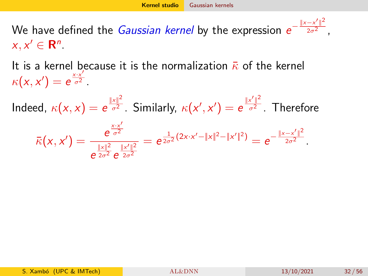<span id="page-31-1"></span><span id="page-31-0"></span>We have defined the *Gaussian kernel* by the expression  $e^{-\frac{\|{\mathbf{x}}-\mathbf{x}'\|^2}{2\sigma^2}}$  $\overline{2\sigma^2}$ ,  $x, x' \in \mathbf{R}^n$ .

It is a kernel because it is the normalization  $\bar{\kappa}$  of the kernel  $\kappa(x, x') = e^{\frac{x \cdot x'}{\sigma^2}}$  $\frac{1}{\sigma^2}$ .

Indeed,  $\kappa(x,x) = e^{\frac{||x||^2}{\sigma^2}}$  $\frac{|x|^2}{\sigma^2}$ . Similarly,  $\kappa(x', x') = e^{\frac{||x'||^2}{\sigma^2}}$  $\overline{\sigma^2}$  . Therefore  $\bar{\kappa}(x, x') = \frac{e^{\frac{x \cdot x'}{\sigma^2}}}{\|x\|^2}$  $\sigma^2$  $e^{\frac{||x||^2}{2\sigma^2}}e^{\frac{||x'||^2}{2\sigma^2}}$  $2\sigma^2$  $= e^{\frac{1}{2\sigma^2}(2x \cdot x' - \|x\|^2 - \|x'\|^2)} = e^{-\frac{\|x - x'\|^2}{2\sigma^2}}$  $\overline{2\sigma^2}$ .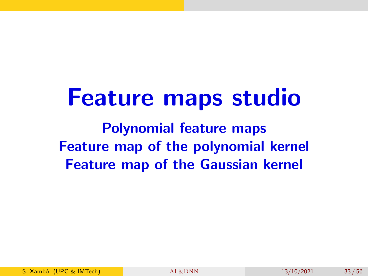# Feature maps studio

Polynomial feature maps Feature map of the polynomial kernel Feature map of the Gaussian kernel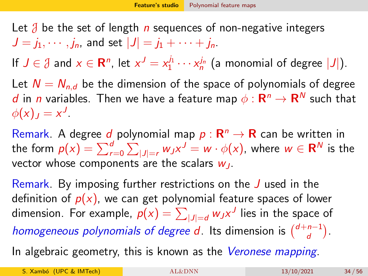<span id="page-33-0"></span>Let  $\beta$  be the set of length n sequences of non-negative integers  $J = j_1, \dots, j_n$ , and set  $|J| = j_1 + \dots + j_n$ .

If  $J \in \mathcal{J}$  and  $x \in \mathbb{R}^n$ , let  $x^J = x_1^{j_1} \cdots x_n^{j_n}$  (a monomial of degree  $|J|$ ).

Let  $N = N_{n,d}$  be the dimension of the space of polynomials of degree d in n variables. Then we have a feature map  $\phi: \mathbf{R}^n \rightarrow \mathbf{R}^N$  such that  $\phi(x)_J = x^J$ .

Remark. A degree  $d$  polynomial map  $p: \mathbf{R}^n \to \mathbf{R}$  can be written in the form  $p(x)=\sum_{r=0}^d\sum_{|J|=r}w_Jx^J=w\cdot\phi(x)$ , where  $w\in{\sf R}^N$  is the vector whose components are the scalars  $w_1$ .

Remark. By imposing further restrictions on the J used in the definition of  $p(x)$ , we can get polynomial feature spaces of lower dimension. For example,  $p(x)=\sum_{|J|=d}w_Jx^J$  lies in the space of homogeneous polynomials of degree d. Its dimension is  $\binom{d+n-1}{d}$  $\binom{n-1}{d}$ .

In algebraic geometry, this is known as the Veronese mapping.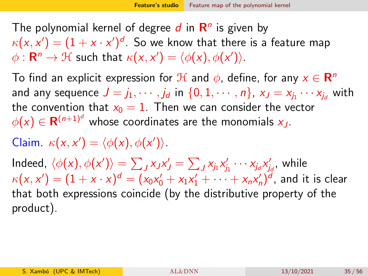<span id="page-34-0"></span>The polynomial kernel of degree  $d$  in  $\mathsf{R}^n$  is given by  $\kappa({\mathsf x},{\mathsf x}') = (1+{\mathsf x}\cdot{\mathsf x}')^d.$  So we know that there is a feature map  $\phi: \mathbf{R}^n \to \mathcal{H}$  such that  $\kappa(x, x') = \langle \phi(x), \phi(x') \rangle$ .

To find an explicit expression for  ${\mathcal H}$  and  $\phi$ , define, for any  ${\pmb{\times}} \in {\mathbf R}^n$ and any sequence  $J=j_1,\cdots,j_d$  in  $\{0,1,\cdots,n\}$ ,  ${\sf x}_J={\sf x}_{j_1}\cdots{\sf x}_{j_d}$  with the convention that  $x_0 = 1$ . Then we can consider the vector  $\phi(\mathsf{x}) \in \mathsf{R}^{(n+1)^d}$  whose coordinates are the monomials  $\mathsf{x}_{J}.$ 

Claim.  $\kappa(x, x') = \langle \phi(x), \phi(x') \rangle$ .

Indeed,  $\langle \phi(x), \phi(x') \rangle = \sum_J x_J x_J' = \sum_J x_{j_1} x_{j_1}' \cdots x_{j_d} x_{j_d}'$ , while  $\kappa({\mathsf x},{\mathsf x}')=(1+{\mathsf x}\cdot{\mathsf x})^d=(\mathsf{x}_0\mathsf{x}_0'+\mathsf{x}_1\mathsf{x}_1'+\dots+\mathsf{x}_n\mathsf{x}_n')^d,$  and it is clear that both expressions coincide (by the distributive property of the product).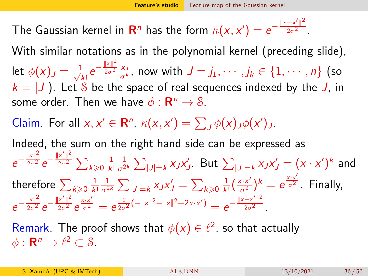<span id="page-35-0"></span>The Gaussian kernel in  ${\bf R}^n$  has the form  $\kappa(x,x')=e^{-\frac{\|x-x'\|^2}{2\sigma^2}}$  $\overline{2\sigma^2}$ .

With similar notations as in the polynomial kernel (preceding slide), let  $\phi(x)_J = \frac{1}{\sqrt{J}}$  $rac{1}{k!}e^{-\frac{||x||^2}{2\sigma^2}}$  $\frac{10}{2\sigma^2}$   $\frac{x_1}{y_2}$  $\frac{\chi_{j}}{\sigma^{k}}$ , now with  $J=j_{1},\cdots,j_{k}\in\{1,\cdots,n\}$  (so  $k = |J|$ ). Let S be the space of real sequences indexed by the J, in some order. Then we have  $\phi : \mathbf{R}^n \to \mathcal{S}$ .

Claim. For all  $x, x' \in \mathbb{R}^n$ ,  $\kappa(x, x') = \sum_j \phi(x)_{,j} \phi(x')_{,j}$ .

Indeed, the sum on the right hand side can be expressed as  $e^{-\frac{||x||^2}{2\sigma^2}}e^{-\frac{||x'||^2}{2\sigma^2}}\sum_{k\geqslant 0}\frac{1}{k}$ k! 1  $\frac{1}{\sigma^{2k}}\sum_{|J|=k}\chi_J\textsf{x}'_J$ . But  $\sum_{|J|=k}\chi_J\textsf{x}'_J=(\textsf{x}\cdot\textsf{x}')^k$  and therefore  $\sum_{k\geqslant 0} \frac{1}{k}$ k! 1  $\frac{1}{\sigma^{2k}}\sum_{|J|=k}\mathsf{x}_{J}\mathsf{x}'_{J}=\sum_{k\geqslant 0}\frac{1}{k!}$  $\frac{1}{k!}(\frac{x \cdot x^{\prime}}{\sigma^2})^k = e^{\frac{x \cdot x^{\prime}}{\sigma^2}}$  $\overline{\sigma^2}$  Finally,  $e^{-\frac{\|x\|^2}{2\sigma^2}}e^{-\frac{\|x'\|^2}{2\sigma^2}}e^{\frac{x\cdot x'}{\sigma^2}}=e^{\frac{1}{2\sigma^2}(-\|x\|^2-\|x\|^2+2x\cdot x')}=e^{-\frac{\|x-x'\|^2}{2\sigma^2}}$  $\overline{2\sigma^2}$ .

Remark. The proof shows that  $\phi(x) \in \ell^2$ , so that actually  $\phi: \mathbf{R}^n \to \ell^2 \subset \mathcal{S}.$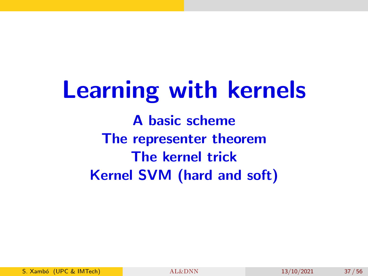Learning with kernels A basic scheme The representer theorem The kernel trick Kernel SVM (hard and soft)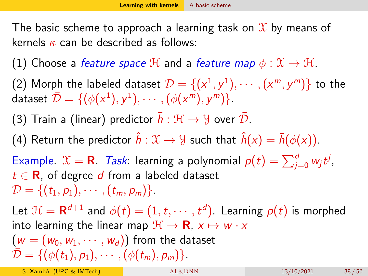<span id="page-37-0"></span>The basic scheme to approach a learning task on  $\mathfrak X$  by means of kernels  $\kappa$  can be described as follows:

(1) Choose a *feature space* H and a *feature map*  $\phi: \mathcal{X} \to \mathcal{H}$ .

(2) Morph the labeled dataset  $\mathcal{D} = \{(\mathsf{x}^1, \mathsf{y}^1), \cdots, (\mathsf{x}^m, \mathsf{y}^m)\}$  to the dataset  $\bar{\mathcal{D}} = \{(\phi(x^1), y^1), \cdots, (\phi(x^m), y^m)\}.$ 

(3) Train a (linear) predictor  $\bar{h}: \mathcal{H} \to \mathcal{Y}$  over  $\bar{\mathcal{D}}$ .

(4) Return the predictor  $\hat{h}: \mathcal{X} \to \mathcal{Y}$  such that  $\hat{h}(x) = \bar{h}(\phi(x))$ .

Example.  $\mathfrak{X}=\mathsf{R}$ . Task: learning a polynomial  $p(t)=\sum_{j=0}^d w_j t^j$ ,  $t \in \mathbf{R}$ , of degree d from a labeled dataset  $\mathcal{D} = \{(t_1, p_1), \cdots, (t_m, p_m)\}.$ 

Let  $\mathcal{H} = \mathsf{R}^{d+1}$  and  $\phi(t) = (1,t,\cdots,t^d)$ . Learning  $\rho(t)$  is morphed into learning the linear map  $\mathcal{H} \to \mathbf{R}$ ,  $x \mapsto w \cdot x$  $(w = (w_0, w_1, \dots, w_d))$  from the dataset  $\mathcal{D} = \{(\phi(t_1), p_1), \cdots, (\phi(t_m), p_m)\}.$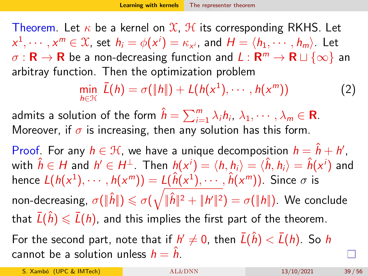<span id="page-38-0"></span>Theorem. Let  $\kappa$  be a kernel on  $\mathfrak{X}$ ,  $\mathfrak{H}$  its corresponding RKHS. Let  $x^1,\cdots,x^m\in\mathfrak{X}$ , set  $h_i=\phi(x^i)=\kappa_{x^i}$ , and  $H=\langle h_1,\cdots,h_m\rangle$ . Let  $\sigma:\mathbf{R}\to\mathbf{R}$  be a non-decreasing function and  $L:\mathbf{R}^m\to\mathbf{R}\sqcup\{\infty\}$  an arbitray function. Then the optimization problem

<span id="page-38-1"></span>
$$
\min_{h \in \mathcal{H}} \bar{L}(h) = \sigma(\Vert h \Vert) + L(h(x^1), \cdots, h(x^m)) \tag{2}
$$

admits a solution of the form  $\hat{h} = \sum_{i=1}^m \lambda_i h_i, \ \lambda_1, \cdots, \lambda_m \in \mathbf{R}.$ Moreover, if  $\sigma$  is increasing, then any solution has this form.

Proof. For any  $h \in \mathcal{H}$ , we have a unique decomposition  $h = \hat{h} + h'$ , with  $\hat{h}\in H$  and  $h'\in H^\perp.$  Then  $h(x^i)=\langle h,h_i\rangle=\langle \hat{h},h_i\rangle=\hat{h}(x^i)$  and hence  $L(h(x^1), \cdots, h(x^m)) = L(\hat{h}(x^1), \cdots, \hat{h}(x^m))$ . Since  $\sigma$  is non-decreasing,  $\sigma(\|\hat{h}\|)\leqslant \sigma(\sqrt{\|\hat{h}\|^2+\|h'\|^2})=\sigma(\|h\|).$  We conclude that  $\bar{L}(\hat{h}) \leq \bar{L}(h)$ , and this implies the first part of the theorem. For the second part, note that if  $h'\neq 0$ , then  $\bar{L}(\hat{h})<\bar{L}(h)$ . So  $h$ cannot be a solution unless  $h = \hat{h}$ .

S. Xambó (UPC & IMTech) **[AL&DNN](#page-0-0)** 13/10/2021 39 / 56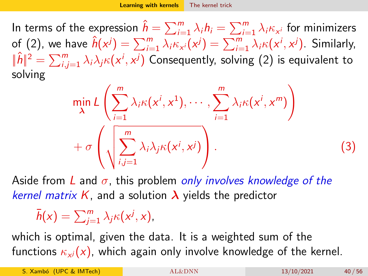<span id="page-39-0"></span>In terms of the expression  $\hat{h} = \sum_{i=1}^m \lambda_i h_i = \sum_{i=1}^m \lambda_i \kappa_{\mathsf{x}^i}$  for minimizers of [\(2\)](#page-38-1), we have  $\hat{h}(x^j) = \sum_{i=1}^m \lambda_i \kappa_{x^i}(x^j) = \sum_{i=1}^m \lambda_i \kappa(x^i, x^j)$ . Similarly,  $\|\hat{h}\|^2=\sum_{i,j=1}^m \lambda_i\lambda_j \kappa(\mathsf{x}^i,\mathsf{x}^j)$  Consequently, solving [\(2\)](#page-38-1) is equivalent to solving

$$
\min_{\lambda} L\left(\sum_{i=1}^{m} \lambda_{i} \kappa(x^{i}, x^{1}), \cdots, \sum_{i=1}^{m} \lambda_{i} \kappa(x^{i}, x^{m})\right) + \sigma\left(\sqrt{\sum_{i,j=1}^{m} \lambda_{i} \lambda_{j} \kappa(x^{i}, x^{j})}\right).
$$
\n(3)

Aside from L and  $\sigma$ , this problem only involves knowledge of the kernel matrix K, and a solution  $\lambda$  yields the predictor

 $\bar{h}(x) = \sum_{j=1}^{m} \lambda_j \kappa(x^j, x),$ 

which is optimal, given the data. It is a weighted sum of the functions  $\kappa_{\mathsf{x}^j}(\mathsf{x})$ , which again only involve knowledge of the kernel.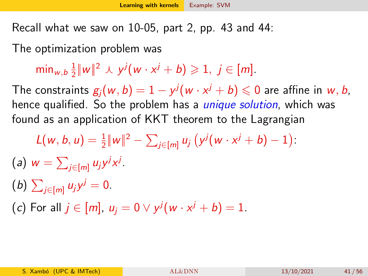<span id="page-40-0"></span>Recall what we saw on 10-05, part 2, pp. 43 and 44:

The optimization problem was

min $_{w,b}$   $\frac{1}{2}$  $\frac{1}{2} ||w||^2 \wedge y^j (w \cdot x^j + b) \geqslant 1, j \in [m].$ 

The constraints  $g_j(w,b)=1-y^j(w\cdot x^j+b)\leqslant 0$  are affine in  $w,b,$ hence qualified. So the problem has a *unique solution*, which was found as an application of KKT theorem to the Lagrangian

- $L(w, b, u) = \frac{1}{2} ||w||^2 \sum_{j \in [m]} u_j (y^j (w \cdot x^j + b) 1)$ : (a)  $w = \sum_{j \in [m]} u_j y^j x^j$ .
- (b)  $\sum_{j \in [m]} u_j y^j = 0$ .
- $(c)$  For all  $j \in [m]$ ,  $u_j = 0 \vee y^j(w \cdot x^j + b) = 1$ .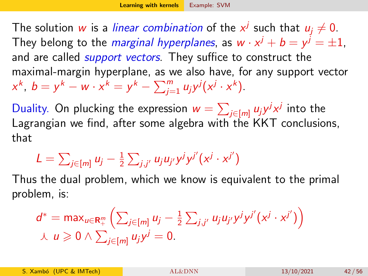The solution  $w$  is a *linear combination* of the  $x^j$  such that  $u_j \neq 0.$ They belong to the *marginal hyperplanes*, as  $w\cdot x^j+b=y^j=\pm 1$ , and are called *support vectors*. They suffice to construct the maximal-margin hyperplane, as we also have, for any support vector  $x^{k}$ ,  $b = y^{k} - w \cdot x^{k} = y^{k} - \sum_{j=1}^{m} u_{j}y^{j}(x^{j} \cdot x^{k}).$ 

Duality. On plucking the expression  $w=\sum_{j\in [m]} u_j y^j x^j$  into the Lagrangian we find, after some algebra with the KKT conclusions, that

$$
L = \sum_{j \in [m]} u_j - \frac{1}{2} \sum_{j,j'} u_j u_{j'} y^j y^{j'} (x^j \cdot x^{j'})
$$

Thus the dual problem, which we know is equivalent to the primal problem, is:

$$
d^* = \max_{u \in \mathbf{R}_+^m} \left( \sum_{j \in [m]} u_j - \frac{1}{2} \sum_{j,j'} u_j u_{j'} y^j y^{j'} (x^j \cdot x^{j'}) \right) \n\downarrow u \geq 0 \wedge \sum_{j \in [m]} u_j y^j = 0.
$$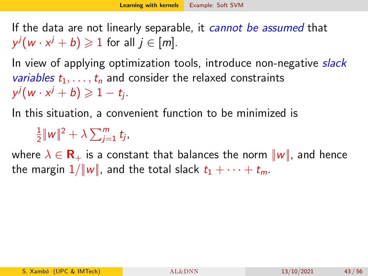<span id="page-42-0"></span>If the data are not linearly separable, it *cannot be assumed* that  $y^j(w \cdot x^j + b) \geqslant 1$  for all  $j \in [m]$ .

In view of applying optimization tools, introduce non-negative slack variables  $t_1, \ldots, t_n$  and consider the relaxed constraints  $y^j(w \cdot x^j + b) \geqslant 1 - t_j$ .

In this situation, a convenient function to be minimized is

1  $\frac{1}{2} ||w||^2 + \lambda \sum_{j=1}^m t_j$ 

where  $\lambda \in \mathbf{R}_{+}$  is a constant that balances the norm  $||w||$ , and hence the margin  $1/\|w\|$ , and the total slack  $t_1 + \cdots + t_m$ .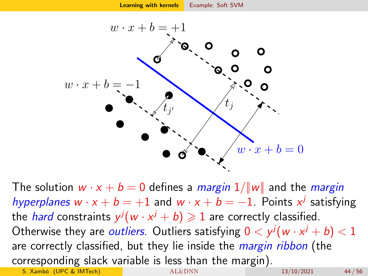

The solution  $w \cdot x + b = 0$  defines a *margin*  $1/||w||$  and the *margin* hyperplanes  $w \cdot x + b = +1$  and  $w \cdot x + b = -1$ . Points  $x^j$  satisfying the *hard* constraints  $y^j(w \cdot x^j + b) \geqslant 1$  are correctly classified. Otherwise they are *outliers*. Outliers satisfying  $0 < y^j(w \cdot x^j + b) < 1$ are correctly classified, but they lie inside the *margin ribbon* (the corresponding slack variable is less than the margin). S. Xambó (UPC & IMTech) [AL&DNN](#page-0-0) 13/10/2021 44/56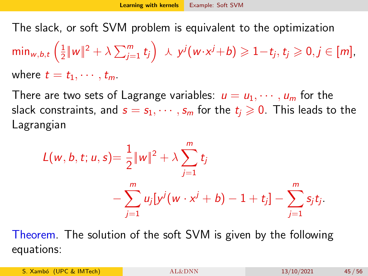The slack, or soft SVM problem is equivalent to the optimization

min $_{w,b,t}$   $\Big(\frac{1}{2}\Big)$  $\frac{1}{2} \| w \|^2 + \lambda \sum_{j=1}^m t_j \Big) \ \ \lambda \ \ y^j \big( w \!\cdot\! x^j \!+\! b \big) \geqslant 1 \!-\! t_j, \, t_j \geqslant 0, j \in [m],$ where  $t = t_1, \cdots, t_m$ .

There are two sets of Lagrange variables:  $u = u_1, \dots, u_m$  for the slack constraints, and  $s = s_1, \dots, s_m$  for the  $t_i \geq 0$ . This leads to the Lagrangian

$$
L(w, b, t; u, s) = \frac{1}{2} ||w||^2 + \lambda \sum_{j=1}^m t_j
$$
  
- 
$$
\sum_{j=1}^m u_j [y^j (w \cdot x^j + b) - 1 + t_j] - \sum_{j=1}^m s_j t_j.
$$

Theorem. The solution of the soft SVM is given by the following equations:

S. Xambó (UPC & IMTech) [AL&DNN](#page-0-0) 13/10/2021 45/56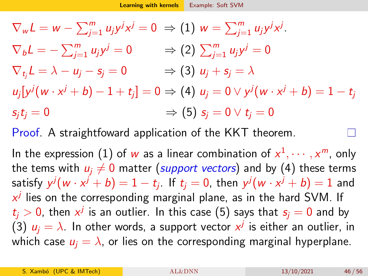$\nabla_w L = w - \sum_{j=1}^m u_j y^j x^j = 0 \Rightarrow (1) w = \sum_{j=1}^m u_j y^j x^j.$  $\nabla_b L = -\sum_{j=1}^m u_j y$  $j=0 \qquad \Rightarrow (2) \, \sum_{j=1}^m u_j y^j = 0$  $\nabla_{t_i}L = \lambda - u_i - s_i = 0 \Rightarrow (3) u_i + s_i = \lambda$  $u_j[\mathsf{y}^j(\mathsf{w} \cdot \mathsf{x}^j + b) - 1 + t_j] = 0 \Rightarrow (4) \, \, u_j = 0 \vee \mathsf{y}^j(\mathsf{w} \cdot \mathsf{x}^j + b) = 1 - t_j$  $s_it_i = 0$   $\Rightarrow$   $(5)$   $s_i = 0 \vee t_i = 0$ 

Proof. A straightfoward application of the KKT theorem.

In the expression (1) of  $w$  as a linear combination of  $x^1,\cdots,x^m$ , only the tems with  $u_i \neq 0$  matter (support vectors) and by (4) these terms satisfy  $y^j(w\cdot x^j+b)=1-t_j.$  If  $t_j=0,$  then  $y^j(w\cdot x^j+b)=1$  and  $x^j$  lies on the corresponding marginal plane, as in the hard SVM. If  $t_j>0$ , then  $x^j$  is an outlier. In this case (5) says that  $s_j=0$  and by (3)  $u_j = \lambda$ . In other words, a support vector  $x^j$  is either an outlier, in which case  $u_i = \lambda$ , or lies on the corresponding marginal hyperplane.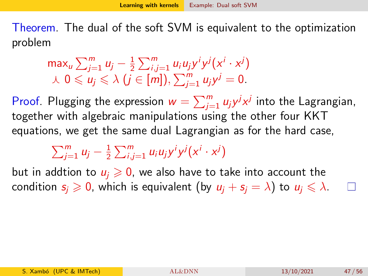<span id="page-46-0"></span>Theorem. The dual of the soft SVM is equivalent to the optimization problem

$$
\max_{u} \sum_{j=1}^{m} u_j - \frac{1}{2} \sum_{i,j=1}^{m} u_i u_j y^i y^j (x^i \cdot x^j)
$$
  

$$
\lambda \ 0 \leq u_j \leq \lambda \ (j \in [m]), \sum_{j=1}^{m} u_j y^j = 0.
$$

Proof. Plugging the expression  $w = \sum_{j=1}^{m} u_j y^j x^j$  into the Lagrangian, together with algebraic manipulations using the other four KKT equations, we get the same dual Lagrangian as for the hard case,

$$
\sum_{j=1}^m u_j - \frac{1}{2} \sum_{i,j=1}^m u_i u_j y^i y^j (x^i \cdot x^j)
$$

but in addtion to  $u_i \geq 0$ , we also have to take into account the condition  $s_i \geq 0$ , which is equivalent (by  $u_i + s_i = \lambda$ ) to  $u_i \leq \lambda$ .

П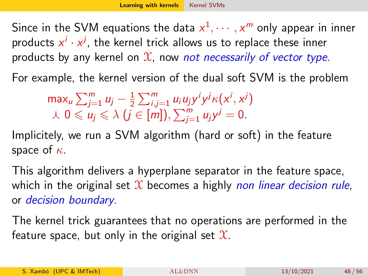<span id="page-47-0"></span>Since in the SVM equations the data  $x^1,\cdots,x^m$  only appear in inner products  $x^i \cdot x^j$ , the kernel trick allows us to replace these inner products by any kernel on  $\mathfrak X$ , now *not necessarily of vector type*.

For example, the kernel version of the dual soft SVM is the problem

max $\sum_{j=1}^m u_j - \frac{1}{2}$  $\frac{1}{2}\sum_{i,j=1}^m u_i u_j y^i y^j \kappa(x^i, x^j)$  $\lambda$   $0 \leqslant u_j \leqslant \lambda$   $(j \in [m]),$   $\sum_{j=1}^m u_j y^j = 0$ .

Implicitely, we run a SVM algorithm (hard or soft) in the feature space of  $\kappa$ .

This algorithm delivers a hyperplane separator in the feature space, which in the original set  $\mathcal X$  becomes a highly non linear decision rule, or decision boundary.

The kernel trick guarantees that no operations are performed in the feature space, but only in the original set  $\mathfrak{X}$ .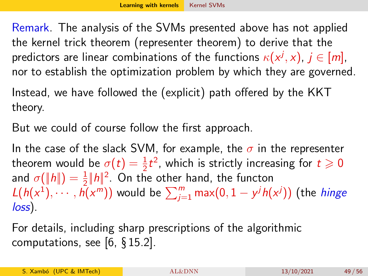Remark. The analysis of the SVMs presented above has not applied the kernel trick theorem (representer theorem) to derive that the predictors are linear combinations of the functions  $\kappa(\mathsf{x}^j, \mathsf{x}),\, j\in [m],$ nor to establish the optimization problem by which they are governed.

Instead, we have followed the (explicit) path offered by the KKT theory.

But we could of course follow the first approach.

In the case of the slack SVM, for example, the  $\sigma$  in the representer theorem would be  $\sigma(t) = \frac{1}{2}t^2$ , which is strictly increasing for  $t \geq 0$ and  $\sigma(\|\hbar\|) = \frac{1}{2}\|\hbar\|^2$ . On the other hand, the functon  $L(h(x^{1}),\cdots,\hat{h(x^{m})})$  would be  $\sum_{j=1}^{m}\max(0,1-y^{j}h(x^{j}))$  (the  $hinge$ loss).

For details, including sharp prescriptions of the algorithmic computations, see  $[6, \S 15.2]$  $[6, \S 15.2]$ .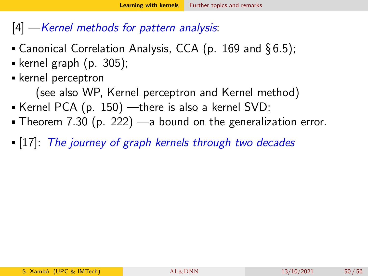### <span id="page-49-0"></span> $|4|$  — Kernel methods for pattern analysis:

- Canonical Correlation Analysis, CCA (p. 169 and §6.5);
- kernel graph  $(p. 305)$ ;
- kernel perceptron

(see also WP, Kernel perceptron and Kernel method)

- Kernel PCA  $(p. 150)$  —there is also a kernel SVD;
- Theorem 7.30 (p. 222) —a bound on the generalization error.
- [\[17\]](#page-55-2): The journey of graph kernels through two decades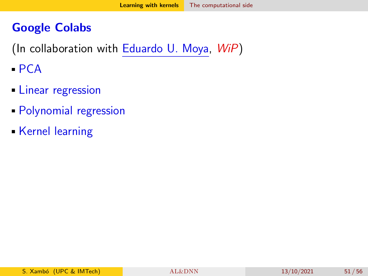### <span id="page-50-0"></span>Google Colabs

(In collaboration with [Eduardo U. Moya,](https://www.researchgate.net/profile/E-Ulises-Moya-Sanchez) WiP)

- $PCA$
- **Linear regression**
- Polynomial regression
- Kernel learning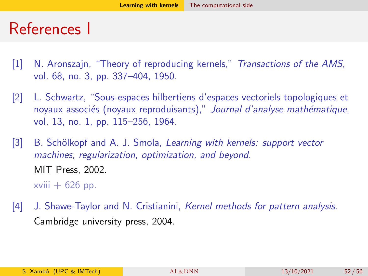## References I

- <span id="page-51-0"></span>[1] N. Aronszajn, "Theory of reproducing kernels," Transactions of the AMS, vol. 68, no. 3, pp. 337–404, 1950.
- <span id="page-51-1"></span>[2] L. Schwartz, "Sous-espaces hilbertiens d'espaces vectoriels topologiques et noyaux associés (noyaux reproduisants)," Journal d'analyse mathématique, vol. 13, no. 1, pp. 115–256, 1964.
- <span id="page-51-2"></span>[3] B. Schölkopf and A. J. Smola, Learning with kernels: support vector machines, regularization, optimization, and beyond. MIT Press, 2002.

xviii  $+ 626$  pp.

<span id="page-51-3"></span>[4] J. Shawe-Taylor and N. Cristianini, Kernel methods for pattern analysis. Cambridge university press, 2004.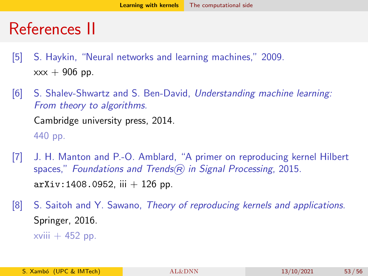## References II

- <span id="page-52-0"></span>[5] S. Haykin, "Neural networks and learning machines," 2009.  $xxx + 906$  pp.
- <span id="page-52-1"></span>[6] S. Shalev-Shwartz and S. Ben-David, Understanding machine learning: From theory to algorithms. Cambridge university press, 2014. 440 pp.
- <span id="page-52-2"></span>[7] J. H. Manton and P.-O. Amblard, "A primer on reproducing kernel Hilbert spaces," Foundations and Trends $(R)$  in Signal Processing, 2015.  $arXiv:1408.0952$ , iii  $+126$  pp.
- <span id="page-52-3"></span>[8] S. Saitoh and Y. Sawano, Theory of reproducing kernels and applications. Springer, 2016.  $xviii + 452$  pp.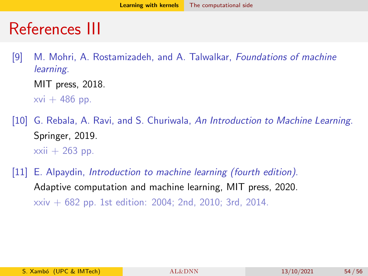## References III

<span id="page-53-0"></span>[9] M. Mohri, A. Rostamizadeh, and A. Talwalkar, Foundations of machine learning.

MIT press, 2018.

 $xvi + 486$  pp.

- <span id="page-53-1"></span>[10] G. Rebala, A. Ravi, and S. Churiwala, An Introduction to Machine Learning. Springer, 2019.  $xxi + 263$  pp.
- <span id="page-53-2"></span>[11] E. Alpaydin, *Introduction to machine learning (fourth edition)*. Adaptive computation and machine learning, MIT press, 2020. xxiv + 682 pp. 1st edition: 2004; 2nd, 2010; 3rd, 2014.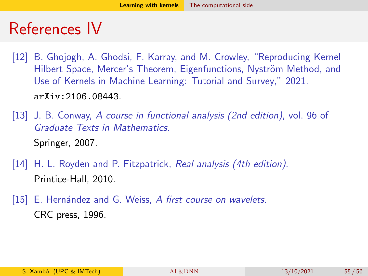## References IV

- <span id="page-54-0"></span>[12] B. Ghojogh, A. Ghodsi, F. Karray, and M. Crowley, "Reproducing Kernel Hilbert Space, Mercer's Theorem, Eigenfunctions, Nyström Method, and Use of Kernels in Machine Learning: Tutorial and Survey," 2021. <arXiv:2106.08443>.
- <span id="page-54-1"></span>[13] J. B. Conway, A course in functional analysis (2nd edition), vol. 96 of Graduate Texts in Mathematics. Springer, 2007.
- <span id="page-54-2"></span>[14] H. L. Royden and P. Fitzpatrick, Real analysis (4th edition). Printice-Hall, 2010.
- <span id="page-54-3"></span>[15] E. Hernández and G. Weiss, A first course on wavelets. CRC press, 1996.